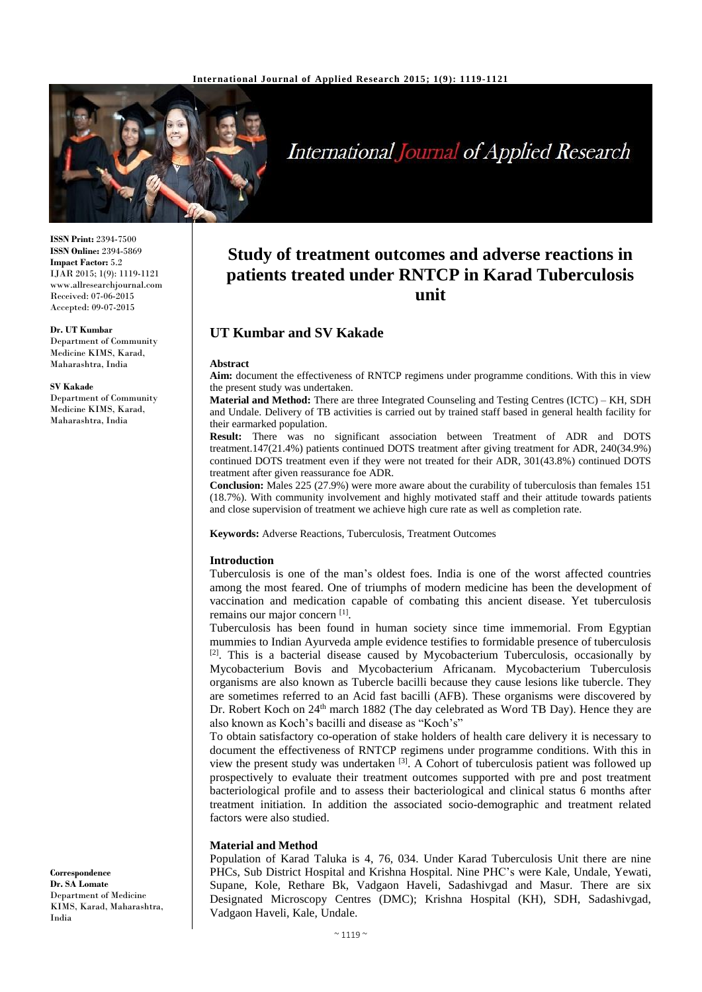

# International Journal of Applied Research

**ISSN Print:** 2394-7500 **ISSN Online:** 2394-5869 **Impact Factor:** 5.2 IJAR 2015; 1(9): 1119-1121 www.allresearchjournal.com Received: 07-06-2015 Accepted: 09-07-2015

**Dr. UT Kumbar** Department of Community Medicine KIMS, Karad, Maharashtra, India

#### **SV Kakade**

Department of Community Medicine KIMS, Karad, Maharashtra, India

#### **Correspondence Dr. SA Lomate** Department of Medicine KIMS, Karad, Maharashtra, India

# **Study of treatment outcomes and adverse reactions in patients treated under RNTCP in Karad Tuberculosis unit**

# **UT Kumbar and SV Kakade**

#### **Abstract**

**Aim:** document the effectiveness of RNTCP regimens under programme conditions. With this in view the present study was undertaken.

**Material and Method:** There are three Integrated Counseling and Testing Centres (ICTC) – KH, SDH and Undale. Delivery of TB activities is carried out by trained staff based in general health facility for their earmarked population.

**Result:** There was no significant association between Treatment of ADR and DOTS treatment.147(21.4%) patients continued DOTS treatment after giving treatment for ADR, 240(34.9%) continued DOTS treatment even if they were not treated for their ADR, 301(43.8%) continued DOTS treatment after given reassurance foe ADR.

**Conclusion:** Males 225 (27.9%) were more aware about the curability of tuberculosis than females 151 (18.7%). With community involvement and highly motivated staff and their attitude towards patients and close supervision of treatment we achieve high cure rate as well as completion rate.

**Keywords:** Adverse Reactions, Tuberculosis, Treatment Outcomes

#### **Introduction**

Tuberculosis is one of the man's oldest foes. India is one of the worst affected countries among the most feared. One of triumphs of modern medicine has been the development of vaccination and medication capable of combating this ancient disease. Yet tuberculosis remains our major concern [1].

Tuberculosis has been found in human society since time immemorial. From Egyptian mummies to Indian Ayurveda ample evidence testifies to formidable presence of tuberculosis <sup>[2]</sup>. This is a bacterial disease caused by Mycobacterium Tuberculosis, occasionally by Mycobacterium Bovis and Mycobacterium Africanam. Mycobacterium Tuberculosis organisms are also known as Tubercle bacilli because they cause lesions like tubercle. They are sometimes referred to an Acid fast bacilli (AFB). These organisms were discovered by Dr. Robert Koch on 24<sup>th</sup> march 1882 (The day celebrated as Word TB Day). Hence they are also known as Koch's bacilli and disease as "Koch's"

To obtain satisfactory co-operation of stake holders of health care delivery it is necessary to document the effectiveness of RNTCP regimens under programme conditions. With this in view the present study was undertaken [3]. A Cohort of tuberculosis patient was followed up prospectively to evaluate their treatment outcomes supported with pre and post treatment bacteriological profile and to assess their bacteriological and clinical status 6 months after treatment initiation. In addition the associated socio-demographic and treatment related factors were also studied.

#### **Material and Method**

Population of Karad Taluka is 4, 76, 034. Under Karad Tuberculosis Unit there are nine PHCs, Sub District Hospital and Krishna Hospital. Nine PHC's were Kale, Undale, Yewati, Supane, Kole, Rethare Bk, Vadgaon Haveli, Sadashivgad and Masur. There are six Designated Microscopy Centres (DMC); Krishna Hospital (KH), SDH, Sadashivgad, Vadgaon Haveli, Kale, Undale.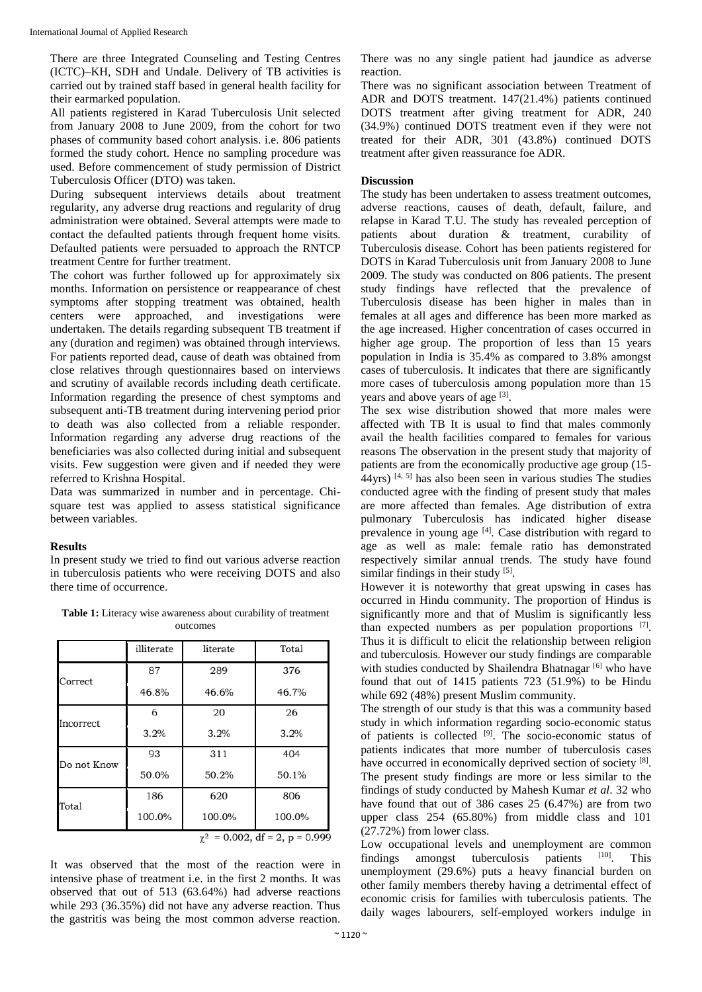There are three Integrated Counseling and Testing Centres (ICTC)–KH, SDH and Undale. Delivery of TB activities is carried out by trained staff based in general health facility for their earmarked population.

All patients registered in Karad Tuberculosis Unit selected from January 2008 to June 2009, from the cohort for two phases of community based cohort analysis. i.e. 806 patients formed the study cohort. Hence no sampling procedure was used. Before commencement of study permission of District Tuberculosis Officer (DTO) was taken.

During subsequent interviews details about treatment regularity, any adverse drug reactions and regularity of drug administration were obtained. Several attempts were made to contact the defaulted patients through frequent home visits. Defaulted patients were persuaded to approach the RNTCP treatment Centre for further treatment.

The cohort was further followed up for approximately six months. Information on persistence or reappearance of chest symptoms after stopping treatment was obtained, health centers were approached, and investigations were undertaken. The details regarding subsequent TB treatment if any (duration and regimen) was obtained through interviews. For patients reported dead, cause of death was obtained from close relatives through questionnaires based on interviews and scrutiny of available records including death certificate. Information regarding the presence of chest symptoms and subsequent anti-TB treatment during intervening period prior to death was also collected from a reliable responder. Information regarding any adverse drug reactions of the beneficiaries was also collected during initial and subsequent visits. Few suggestion were given and if needed they were referred to Krishna Hospital.

Data was summarized in number and in percentage. Chisquare test was applied to assess statistical significance between variables.

#### **Results**

In present study we tried to find out various adverse reaction in tuberculosis patients who were receiving DOTS and also there time of occurrence.

**Table 1:** Literacy wise awareness about curability of treatment outcomes

|             | illiterate | literate | Total  |
|-------------|------------|----------|--------|
| Correct     | 87         | 289      | 376    |
|             | 46.8%      | 46.6%    | 46.7%  |
| Incorrect   | 6          | 20       | 26     |
|             | 3.2%       | 3.2%     | 3.2%   |
| Do not Know | 93         | 311      | 404    |
|             | 50.0%      | 50.2%    | 50.1%  |
| Total       | 186        | 620      | 806    |
|             | 100.0%     | 100.0%   | 100.0% |

0.002, df = 2,  $p = 0.999$ χ

It was observed that the most of the reaction were in intensive phase of treatment i.e. in the first 2 months. It was observed that out of 513 (63.64%) had adverse reactions while 293 (36.35%) did not have any adverse reaction. Thus the gastritis was being the most common adverse reaction.

There was no any single patient had jaundice as adverse reaction.

There was no significant association between Treatment of ADR and DOTS treatment. 147(21.4%) patients continued DOTS treatment after giving treatment for ADR, 240 (34.9%) continued DOTS treatment even if they were not treated for their ADR, 301 (43.8%) continued DOTS treatment after given reassurance foe ADR.

#### **Discussion**

The study has been undertaken to assess treatment outcomes, adverse reactions, causes of death, default, failure, and relapse in Karad T.U. The study has revealed perception of patients about duration & treatment, curability of Tuberculosis disease. Cohort has been patients registered for DOTS in Karad Tuberculosis unit from January 2008 to June 2009. The study was conducted on 806 patients. The present study findings have reflected that the prevalence of Tuberculosis disease has been higher in males than in females at all ages and difference has been more marked as the age increased. Higher concentration of cases occurred in higher age group. The proportion of less than 15 years population in India is 35.4% as compared to 3.8% amongst cases of tuberculosis. It indicates that there are significantly more cases of tuberculosis among population more than 15 years and above years of age [3].

The sex wise distribution showed that more males were affected with TB It is usual to find that males commonly avail the health facilities compared to females for various reasons The observation in the present study that majority of patients are from the economically productive age group (15-  $44yrs$ ) [4, 5] has also been seen in various studies The studies conducted agree with the finding of present study that males are more affected than females. Age distribution of extra pulmonary Tuberculosis has indicated higher disease prevalence in young age  $[4]$ . Case distribution with regard to age as well as male: female ratio has demonstrated respectively similar annual trends. The study have found similar findings in their study [5].

However it is noteworthy that great upswing in cases has occurred in Hindu community. The proportion of Hindus is significantly more and that of Muslim is significantly less than expected numbers as per population proportions [7]. Thus it is difficult to elicit the relationship between religion and tuberculosis. However our study findings are comparable with studies conducted by Shailendra Bhatnagar<sup>[6]</sup> who have found that out of 1415 patients 723 (51.9%) to be Hindu while 692 (48%) present Muslim community.

The strength of our study is that this was a community based study in which information regarding socio-economic status of patients is collected [9]. The socio-economic status of patients indicates that more number of tuberculosis cases have occurred in economically deprived section of society<sup>[8]</sup>. The present study findings are more or less similar to the findings of study conducted by Mahesh Kumar *et al*. 32 who have found that out of 386 cases 25 (6.47%) are from two upper class 254 (65.80%) from middle class and 101 (27.72%) from lower class.

Low occupational levels and unemployment are common findings amongst tuberculosis patients [10]. This unemployment (29.6%) puts a heavy financial burden on other family members thereby having a detrimental effect of economic crisis for families with tuberculosis patients. The daily wages labourers, self-employed workers indulge in